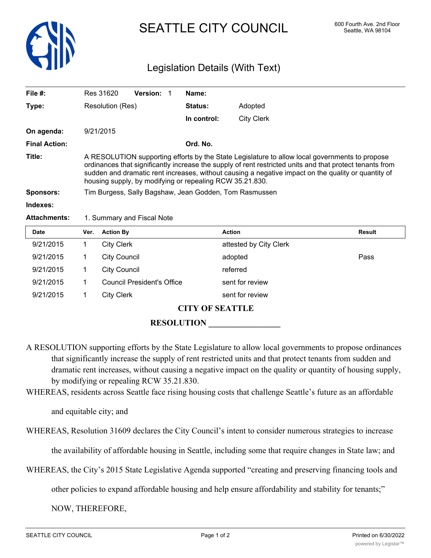

## SEATTLE CITY COUNCIL 600 Fourth Ave. 2nd Floor

## Legislation Details (With Text)

| File #:              | <b>Version:</b><br>Res 31620                                                                                                                                                                                                                                                                                                                                                  |  | Name:          |            |  |
|----------------------|-------------------------------------------------------------------------------------------------------------------------------------------------------------------------------------------------------------------------------------------------------------------------------------------------------------------------------------------------------------------------------|--|----------------|------------|--|
| Type:                | Resolution (Res)                                                                                                                                                                                                                                                                                                                                                              |  | <b>Status:</b> | Adopted    |  |
|                      |                                                                                                                                                                                                                                                                                                                                                                               |  | In control:    | City Clerk |  |
| On agenda:           | 9/21/2015                                                                                                                                                                                                                                                                                                                                                                     |  |                |            |  |
| <b>Final Action:</b> |                                                                                                                                                                                                                                                                                                                                                                               |  | Ord. No.       |            |  |
| Title:               | A RESOLUTION supporting efforts by the State Legislature to allow local governments to propose<br>ordinances that significantly increase the supply of rent restricted units and that protect tenants from<br>sudden and dramatic rent increases, without causing a negative impact on the quality or quantity of<br>housing supply, by modifying or repealing RCW 35.21.830. |  |                |            |  |
| <b>Sponsors:</b>     | Tim Burgess, Sally Bagshaw, Jean Godden, Tom Rasmussen                                                                                                                                                                                                                                                                                                                        |  |                |            |  |
| Indexes:             |                                                                                                                                                                                                                                                                                                                                                                               |  |                |            |  |
| <b>Attachments:</b>  | 1. Summary and Fiscal Note                                                                                                                                                                                                                                                                                                                                                    |  |                |            |  |

| <b>Date</b> | Ver. | <b>Action By</b>                  | <b>Action</b>          | Result |  |  |  |
|-------------|------|-----------------------------------|------------------------|--------|--|--|--|
| 9/21/2015   |      | <b>City Clerk</b>                 | attested by City Clerk |        |  |  |  |
| 9/21/2015   |      | <b>City Council</b>               | adopted                | Pass   |  |  |  |
| 9/21/2015   |      | <b>City Council</b>               | referred               |        |  |  |  |
| 9/21/2015   |      | <b>Council President's Office</b> | sent for review        |        |  |  |  |
| 9/21/2015   |      | <b>City Clerk</b>                 | sent for review        |        |  |  |  |
|             |      |                                   |                        |        |  |  |  |

**CITY OF SEATTLE**

**RESOLUTION \_\_\_\_\_\_\_\_\_\_\_\_\_\_\_\_\_**

- A RESOLUTION supporting efforts by the State Legislature to allow local governments to propose ordinances that significantly increase the supply of rent restricted units and that protect tenants from sudden and dramatic rent increases, without causing a negative impact on the quality or quantity of housing supply, by modifying or repealing RCW 35.21.830.
- WHEREAS, residents across Seattle face rising housing costs that challenge Seattle's future as an affordable

and equitable city; and

WHEREAS, Resolution 31609 declares the City Council's intent to consider numerous strategies to increase

the availability of affordable housing in Seattle, including some that require changes in State law; and

WHEREAS, the City's 2015 State Legislative Agenda supported "creating and preserving financing tools and

other policies to expand affordable housing and help ensure affordability and stability for tenants;"

NOW, THEREFORE,